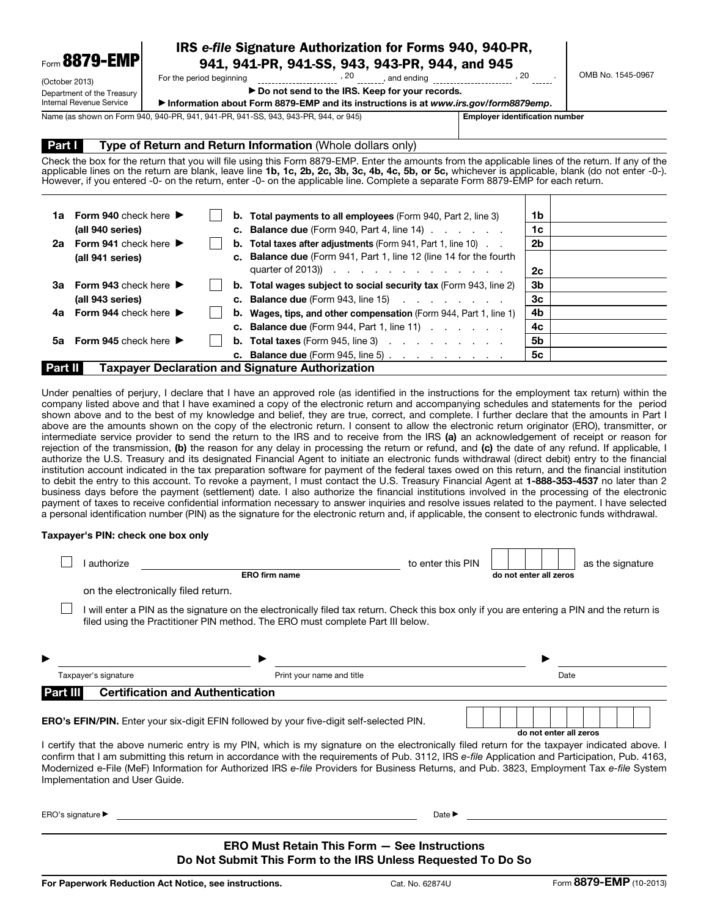| Form 8879-EMP              | IRS e-file Signature Authorization for Forms 940, 940-PR,<br>941, 941-PR, 941-SS, 943, 943-PR, 944, and 945 |                                                                                     |  |                   |
|----------------------------|-------------------------------------------------------------------------------------------------------------|-------------------------------------------------------------------------------------|--|-------------------|
| (October 2013)             | For the period beginning                                                                                    | -20<br>and ending                                                                   |  | OMB No. 1545-0967 |
| Department of the Treasury |                                                                                                             | ▶ Do not send to the IRS. Keep for your records.                                    |  |                   |
| Internal Revenue Service   |                                                                                                             | Information about Form 8879-EMP and its instructions is at www.irs.gov/form8879emp. |  |                   |

Name (as shown on Form 940, 940-PR, 941, 941-PR, 941-SS, 943, 943-PR, 944, or 945) **Employer identification number** 

### **Part I** Type of Return and Return Information (Whole dollars only)

Check the box for the return that you will file using this Form 8879-EMP. Enter the amounts from the applicable lines of the return. If any of the applicable lines on the return are blank, leave line 1b, 1c, 2b, 2c, 3b, 3c, 4b, 4c, 5b, or 5c, whichever is applicable, blank (do not enter -0-). However, if you entered -0- on the return, enter -0- on the applicable line. Complete a separate Form 8879-EMP for each return.

| 1a.                                                         | <b>Form 940</b> check here $\blacktriangleright$ |  |  | <b>b.</b> Total payments to all employees (Form 940, Part 2, line 3)         | 1b |  |  |
|-------------------------------------------------------------|--------------------------------------------------|--|--|------------------------------------------------------------------------------|----|--|--|
|                                                             | (all 940 series)                                 |  |  | <b>c.</b> Balance due (Form 940, Part 4, line 14) $\ldots$ $\ldots$          | 1c |  |  |
|                                                             | 2a Form 941 check here $\blacktriangleright$     |  |  | <b>b.</b> Total taxes after adjustments (Form 941, Part 1, line 10)          | 2b |  |  |
|                                                             | (all 941 series)                                 |  |  | c. Balance due (Form 941, Part 1, line 12 (line 14 for the fourth            |    |  |  |
|                                                             |                                                  |  |  | quarter of 2013)) $\cdots$ $\cdots$ $\cdots$ $\cdots$ $\cdots$               | 2с |  |  |
| За                                                          | <b>Form 943</b> check here $\blacktriangleright$ |  |  | <b>b.</b> Total wages subject to social security tax (Form 943, line 2)      | 3b |  |  |
|                                                             | (all 943 series)                                 |  |  | <b>c.</b> Balance due (Form 943, line 15) $\ldots$ $\ldots$ $\ldots$         | 3c |  |  |
|                                                             | 4a Form 944 check here $\blacktriangleright$     |  |  | <b>b.</b> Wages, tips, and other compensation (Form 944, Part 1, line 1)     | 4b |  |  |
|                                                             |                                                  |  |  | <b>c.</b> Balance due (Form 944, Part 1, line 11) $\ldots$ $\ldots$          | 4c |  |  |
|                                                             | 5a Form 945 check here $\blacktriangleright$     |  |  | <b>b.</b> Total taxes (Form 945, line 3) $\ldots$ $\ldots$ $\ldots$          | 5b |  |  |
|                                                             |                                                  |  |  | <b>c.</b> Balance due (Form 945, line 5) $\ldots$ $\ldots$ $\ldots$ $\ldots$ | 5с |  |  |
| Taxpayer Declaration and Signature Authorization<br>Part II |                                                  |  |  |                                                                              |    |  |  |

Under penalties of perjury, I declare that I have an approved role (as identified in the instructions for the employment tax return) within the company listed above and that I have examined a copy of the electronic return and accompanying schedules and statements for the period shown above and to the best of my knowledge and belief, they are true, correct, and complete. I further declare that the amounts in Part I above are the amounts shown on the copy of the electronic return. I consent to allow the electronic return originator (ERO), transmitter, or intermediate service provider to send the return to the IRS and to receive from the IRS (a) an acknowledgement of receipt or reason for rejection of the transmission, (b) the reason for any delay in processing the return or refund, and (c) the date of any refund. If applicable, I authorize the U.S. Treasury and its designated Financial Agent to initiate an electronic funds withdrawal (direct debit) entry to the financial institution account indicated in the tax preparation software for payment of the federal taxes owed on this return, and the financial institution to debit the entry to this account. To revoke a payment, I must contact the U.S. Treasury Financial Agent at 1-888-353-4537 no later than 2 business days before the payment (settlement) date. I also authorize the financial institutions involved in the processing of the electronic payment of taxes to receive confidential information necessary to answer inquiries and resolve issues related to the payment. I have selected a personal identification number (PIN) as the signature for the electronic return and, if applicable, the consent to electronic funds withdrawal.

#### Taxpayer's PIN: check one box only

| ▶<br>Part III | Taxpayer's signature<br><b>Certification and Authentication</b> | ▶<br>Print your name and title                                                                                                                                                                                                |                   | Date                   |                  |
|---------------|-----------------------------------------------------------------|-------------------------------------------------------------------------------------------------------------------------------------------------------------------------------------------------------------------------------|-------------------|------------------------|------------------|
|               |                                                                 |                                                                                                                                                                                                                               |                   |                        |                  |
|               |                                                                 |                                                                                                                                                                                                                               |                   |                        |                  |
|               |                                                                 | I will enter a PIN as the signature on the electronically filed tax return. Check this box only if you are entering a PIN and the return is<br>filed using the Practitioner PIN method. The ERO must complete Part III below. |                   |                        |                  |
|               | on the electronically filed return.                             |                                                                                                                                                                                                                               |                   |                        |                  |
|               |                                                                 | <b>ERO firm name</b>                                                                                                                                                                                                          |                   | do not enter all zeros | as the signature |
|               | authorize                                                       |                                                                                                                                                                                                                               | to enter this PIN |                        |                  |

I certify that the above numeric entry is my PIN, which is my signature on the electronically filed return for the taxpayer indicated above. I confirm that I am submitting this return in accordance with the requirements of Pub. 3112, IRS *e-file* Application and Participation, Pub. 4163, Modernized e-File (MeF) Information for Authorized IRS *e-file* Providers for Business Returns, and Pub. 3823, Employment Tax *e-file* System Implementation and User Guide.

ERO's signature ▶ Date ▶

#### ERO Must Retain This Form — See Instructions Do Not Submit This Form to the IRS Unless Requested To Do So

do not enter all zeros